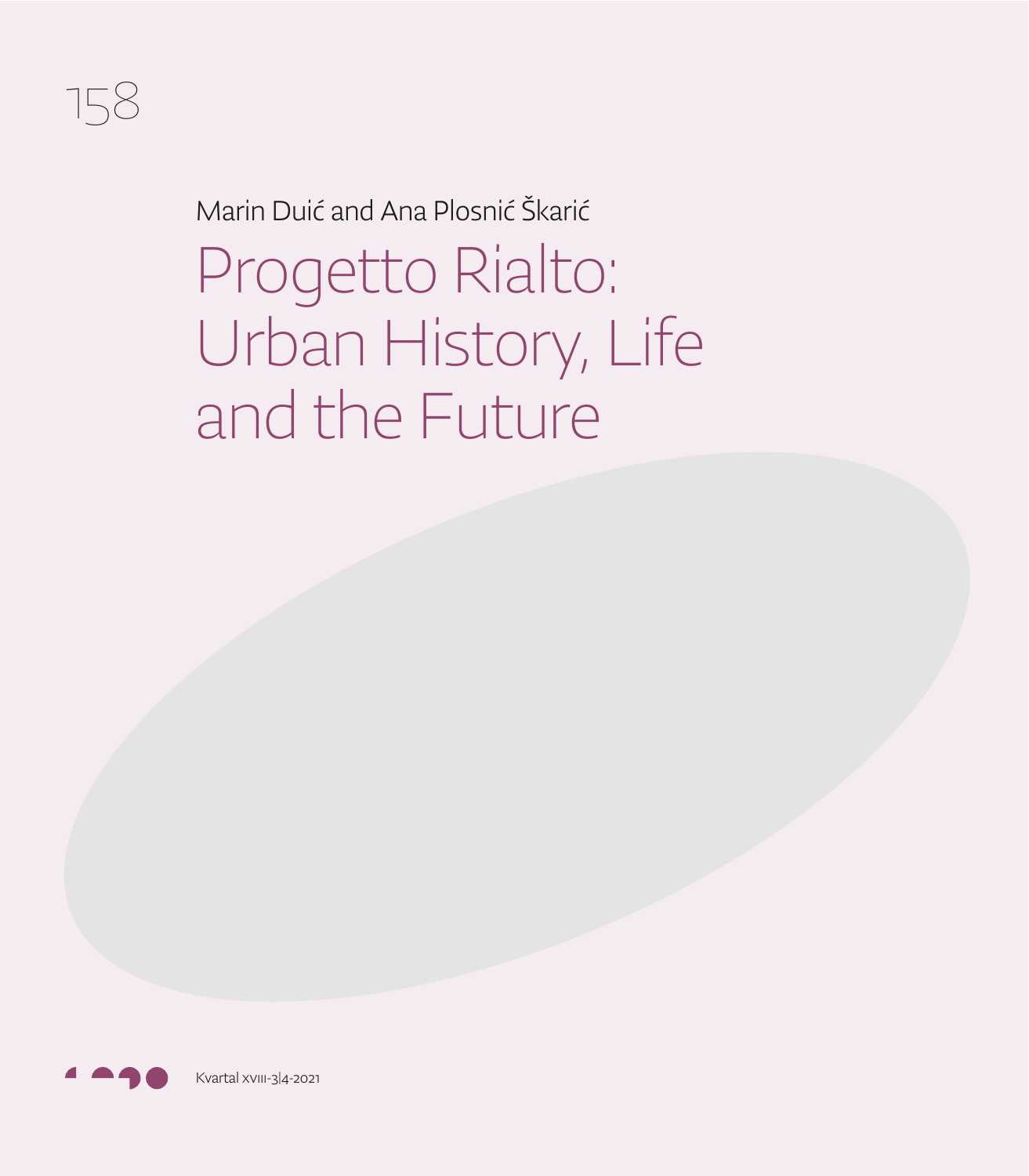

Marin Duić and Ana Plosnić Škarić

Progetto Rialto: Urban History, Life and the Future

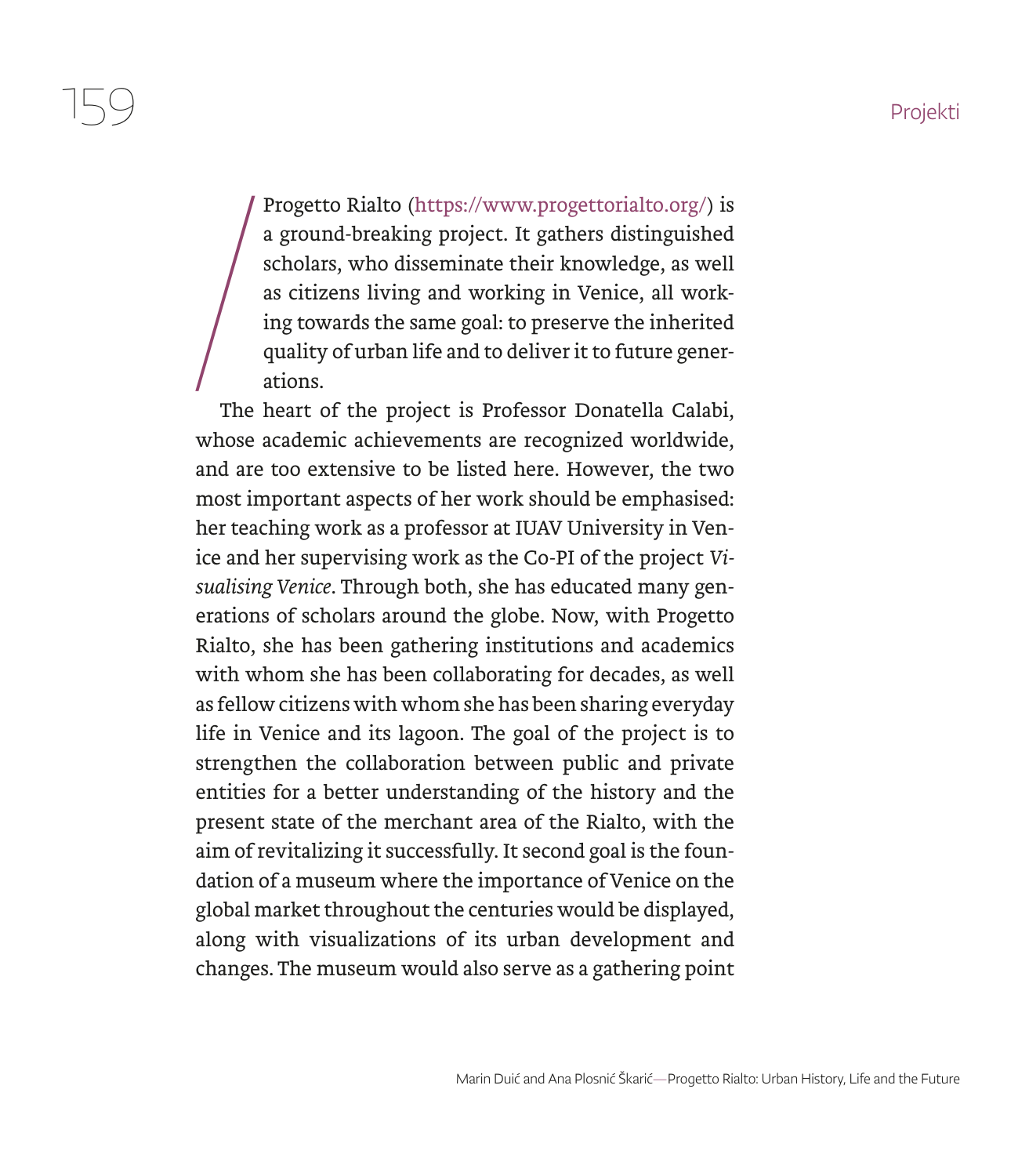Progetto Rialto (https://www.progettorialto.org/) is a ground-breaking project. It gathers distinguished scholars, who disseminate their knowledge, as well as citizens living and working in Venice, all working towards the same goal: to preserve the inherited quality of urban life and to deliver it to future generations.

 $\frac{1}{\sqrt{\frac{1}{1}}\pi}$ The heart of the project is Professor Donatella Calabi, whose academic achievements are recognized worldwide, and are too extensive to be listed here. However, the two most important aspects of her work should be emphasised: her teaching work as a professor at IUAV University in Venice and her supervising work as the Co-PI of the project *Visualising Venice*. Through both, she has educated many generations of scholars around the globe. Now, with Progetto Rialto, she has been gathering institutions and academics with whom she has been collaborating for decades, as well as fellow citizens with whom she has been sharing everyday life in Venice and its lagoon. The goal of the project is to strengthen the collaboration between public and private entities for a better understanding of the history and the present state of the merchant area of the Rialto, with the aim of revitalizing it successfully. It second goal is the foundation of a museum where the importance of Venice on the global market throughout the centuries would be displayed, along with visualizations of its urban development and changes. The museum would also serve as a gathering point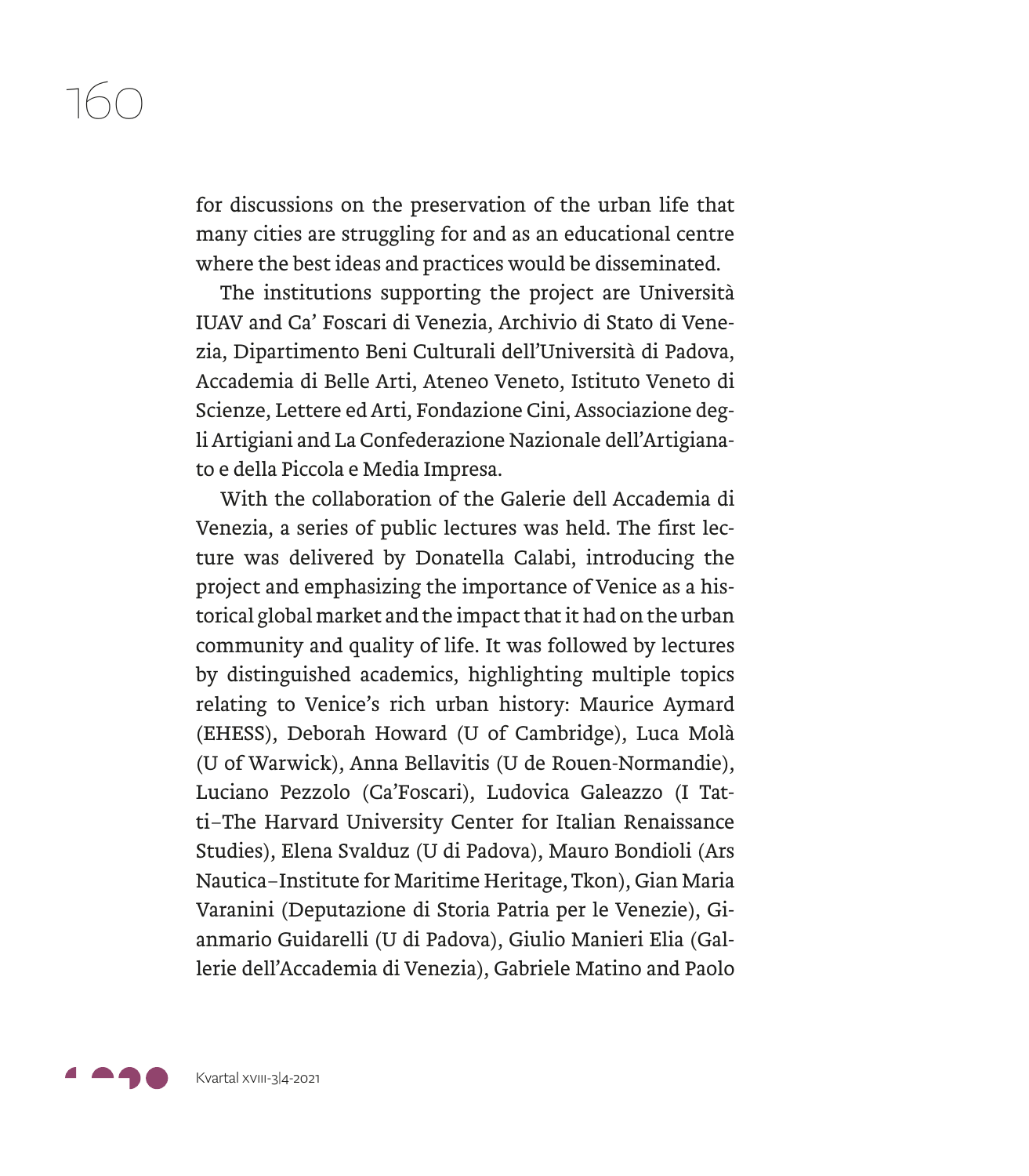for discussions on the preservation of the urban life that many cities are struggling for and as an educational centre where the best ideas and practices would be disseminated.

The institutions supporting the project are Università IUAV and Ca' Foscari di Venezia, Archivio di Stato di Venezia, Dipartimento Beni Culturali dell'Università di Padova, Accademia di Belle Arti, Ateneo Veneto, Istituto Veneto di Scienze, Lettere ed Arti, Fondazione Cini, Associazione degli Artigiani and La Confederazione Nazionale dell'Artigianato e della Piccola e Media Impresa.

With the collaboration of the Galerie dell Accademia di Venezia, a series of public lectures was held. The first lecture was delivered by Donatella Calabi, introducing the project and emphasizing the importance of Venice as a historical global market and the impact that it had on the urban community and quality of life. It was followed by lectures by distinguished academics, highlighting multiple topics relating to Venice's rich urban history: Maurice Aymard (EHESS), Deborah Howard (U of Cambridge), Luca Molà (U of Warwick), Anna Bellavitis (U de Rouen-Normandie), Luciano Pezzolo (Ca'Foscari), Ludovica Galeazzo (I Tatti–The Harvard University Center for Italian Renaissance Studies), Elena Svalduz (U di Padova), Mauro Bondioli (Ars Nautica–Institute for Maritime Heritage, Tkon), Gian Maria Varanini (Deputazione di Storia Patria per le Venezie), Gianmario Guidarelli (U di Padova), Giulio Manieri Elia (Gallerie dell'Accademia di Venezia), Gabriele Matino and Paolo

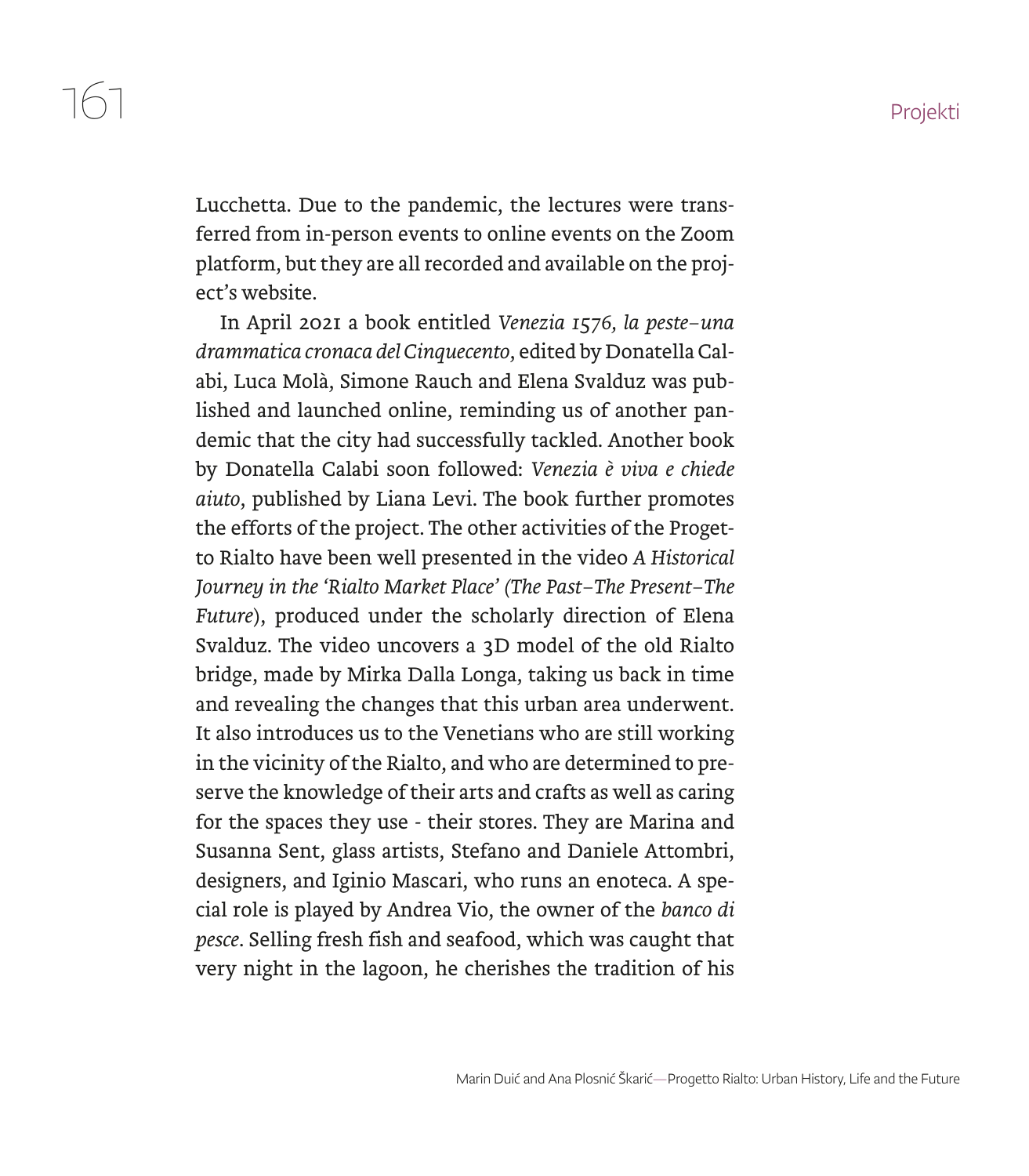Lucchetta. Due to the pandemic, the lectures were transferred from in-person events to online events on the Zoom platform, but they are all recorded and available on the project's website.

In April 2021 a book entitled *Venezia 1576, la peste–una drammatica cronaca del Cinquecento*, edited by Donatella Calabi, Luca Molà, Simone Rauch and Elena Svalduz was published and launched online, reminding us of another pandemic that the city had successfully tackled. Another book by Donatella Calabi soon followed: *Venezia è viva e chiede aiuto*, published by Liana Levi. The book further promotes the efforts of the project. The other activities of the Progetto Rialto have been well presented in the video *A Historical Journey in the 'Rialto Market Place' (The Past–The Present–The Future*), produced under the scholarly direction of Elena Svalduz. The video uncovers a 3D model of the old Rialto bridge, made by Mirka Dalla Longa, taking us back in time and revealing the changes that this urban area underwent. It also introduces us to the Venetians who are still working in the vicinity of the Rialto, and who are determined to preserve the knowledge of their arts and crafts as well as caring for the spaces they use - their stores. They are Marina and Susanna Sent, glass artists, Stefano and Daniele Attombri, designers, and Iginio Mascari, who runs an enoteca. A special role is played by Andrea Vio, the owner of the *banco di pesce*. Selling fresh fish and seafood, which was caught that very night in the lagoon, he cherishes the tradition of his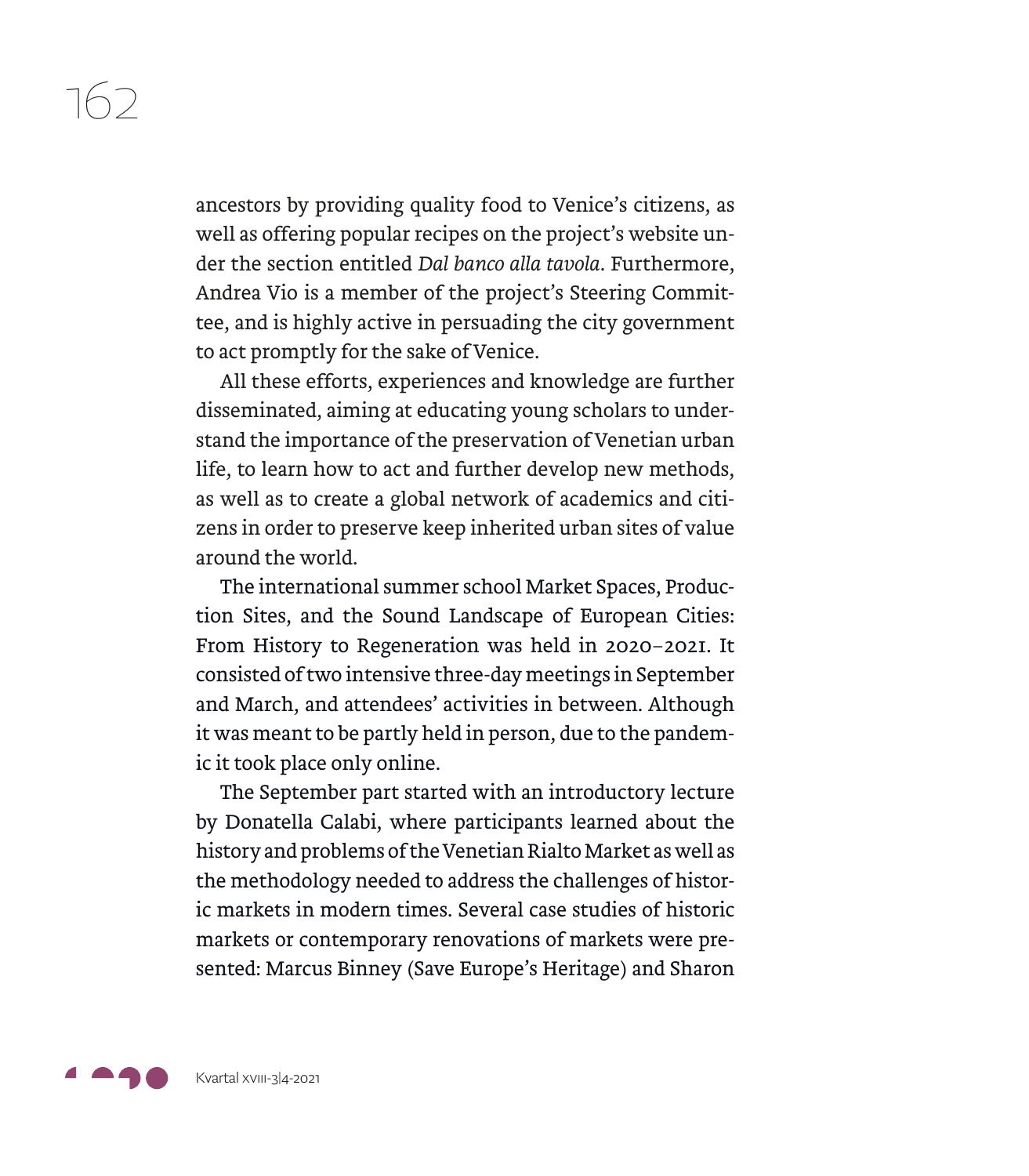ancestors by providing quality food to Venice's citizens, as well as offering popular recipes on the project's website under the section entitled *Dal banco alla tavola*. Furthermore, Andrea Vio is a member of the project's Steering Committee, and is highly active in persuading the city government to act promptly for the sake of Venice.

All these efforts, experiences and knowledge are further disseminated, aiming at educating young scholars to understand the importance of the preservation of Venetian urban life, to learn how to act and further develop new methods, as well as to create a global network of academics and citizens in order to preserve keep inherited urban sites of value around the world.

The international summer school Market Spaces, Production Sites, and the Sound Landscape of European Cities: From History to Regeneration was held in 2020–2021. It consisted of two intensive three-day meetings in September and March, and attendees' activities in between. Although it was meant to be partly held in person, due to the pandemic it took place only online.

The September part started with an introductory lecture by Donatella Calabi, where participants learned about the history and problems of the Venetian Rialto Market as well as the methodology needed to address the challenges of historic markets in modern times. Several case studies of historic markets or contemporary renovations of markets were presented: Marcus Binney (Save Europe's Heritage) and Sharon

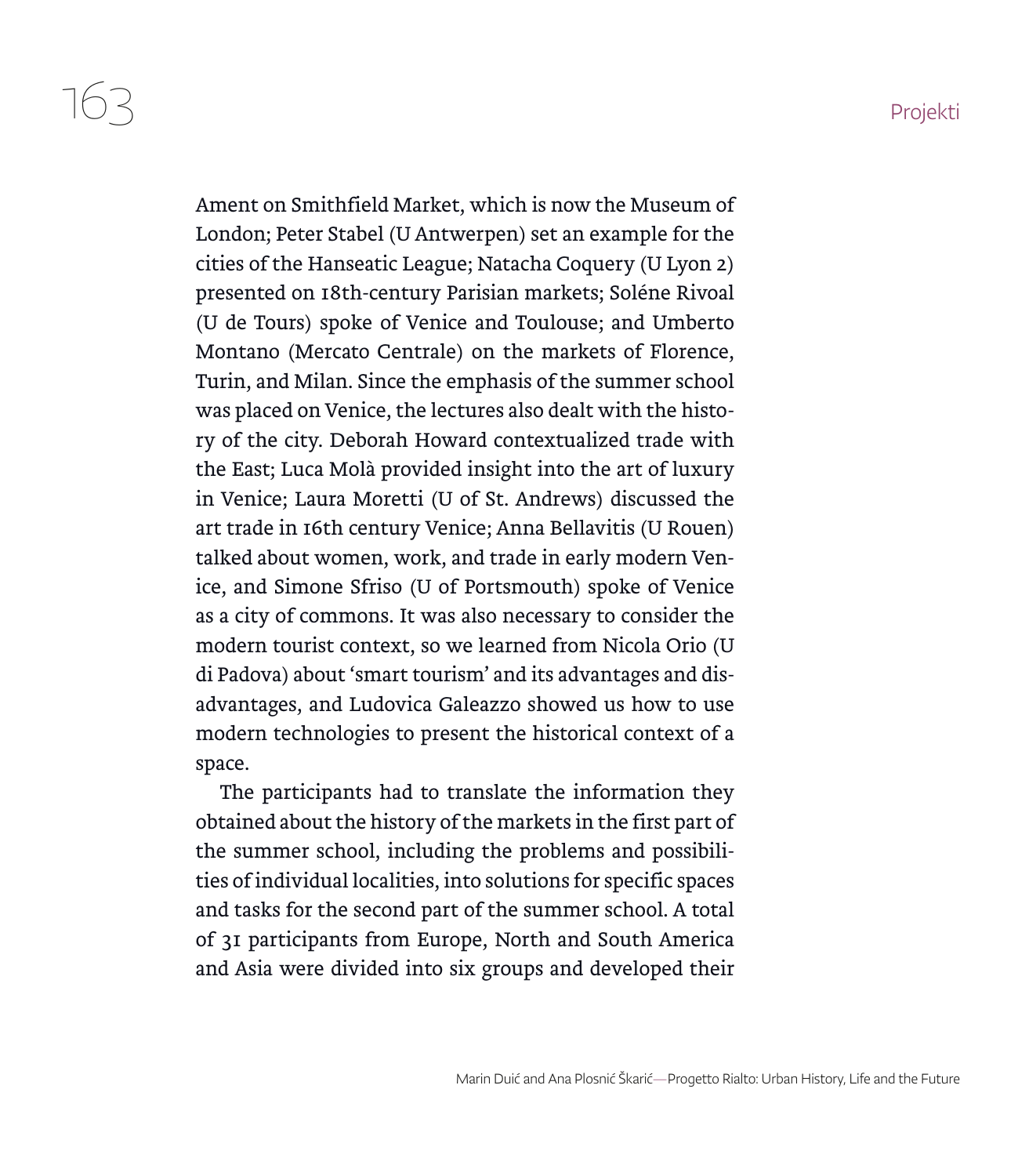$163$  Projekti

Ament on Smithfield Market, which is now the Museum of London; Peter Stabel (U Antwerpen) set an example for the cities of the Hanseatic League; Natacha Coquery (U Lyon 2) presented on 18th-century Parisian markets; Soléne Rivoal (U de Tours) spoke of Venice and Toulouse; and Umberto Montano (Mercato Centrale) on the markets of Florence, Turin, and Milan. Since the emphasis of the summer school was placed on Venice, the lectures also dealt with the history of the city. Deborah Howard contextualized trade with the East; Luca Molà provided insight into the art of luxury in Venice; Laura Moretti (U of St. Andrews) discussed the art trade in 16th century Venice; Anna Bellavitis (U Rouen) talked about women, work, and trade in early modern Venice, and Simone Sfriso (U of Portsmouth) spoke of Venice as a city of commons. It was also necessary to consider the modern tourist context, so we learned from Nicola Orio (U di Padova) about 'smart tourism' and its advantages and disadvantages, and Ludovica Galeazzo showed us how to use modern technologies to present the historical context of a space.

The participants had to translate the information they obtained about the history of the markets in the first part of the summer school, including the problems and possibilities of individual localities, into solutions for specific spaces and tasks for the second part of the summer school. A total of 31 participants from Europe, North and South America and Asia were divided into six groups and developed their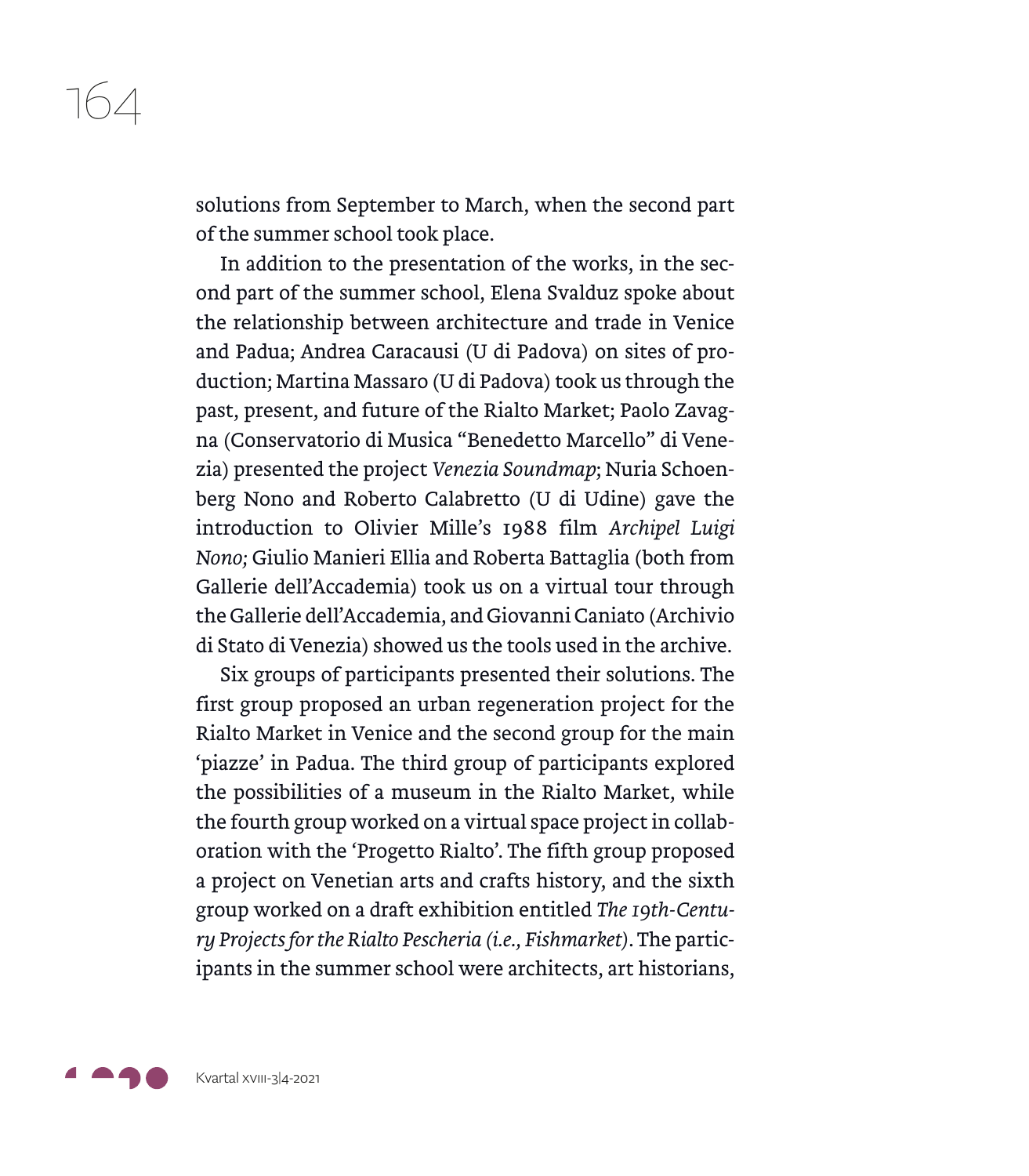solutions from September to March, when the second part of the summer school took place.

In addition to the presentation of the works, in the second part of the summer school, Elena Svalduz spoke about the relationship between architecture and trade in Venice and Padua; Andrea Caracausi (U di Padova) on sites of production; Martina Massaro (U di Padova) took us through the past, present, and future of the Rialto Market; Paolo Zavagna (Conservatorio di Musica "Benedetto Marcello" di Venezia) presented the project *Venezia Soundmap*; Nuria Schoenberg Nono and Roberto Calabretto (U di Udine) gave the introduction to Olivier Mille's 1988 film *Archipel Luigi Nono;* Giulio Manieri Ellia and Roberta Battaglia (both from Gallerie dell'Accademia) took us on a virtual tour through the Gallerie dell'Accademia, and Giovanni Caniato (Archivio di Stato di Venezia) showed us the tools used in the archive.

Six groups of participants presented their solutions. The first group proposed an urban regeneration project for the Rialto Market in Venice and the second group for the main 'piazze' in Padua. The third group of participants explored the possibilities of a museum in the Rialto Market, while the fourth group worked on a virtual space project in collaboration with the 'Progetto Rialto'. The fifth group proposed a project on Venetian arts and crafts history, and the sixth group worked on a draft exhibition entitled *The 19th-Century Projects for the Rialto Pescheria (i.e., Fishmarket)*. The participants in the summer school were architects, art historians,